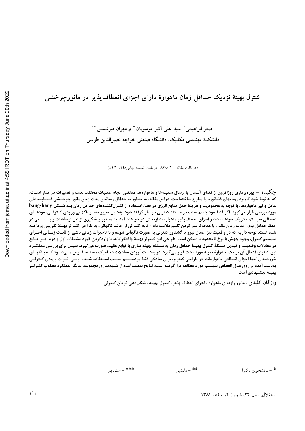# کنترل بهینهٔ نزدیک حداقل زمان ماهوارهٔ دارای اجزای انعطاف پذیر در مانورجرخشی

اصغر ابراهيمي ٌ، سيد على اكبر موسويان ٌ ٌ و مهران ميرشمس ٌ ٌ ٌ دانشکدهٔ مهندسی مکانیک، دانشگاه صنعتی خواجه نصیرالدین طوسی

(دريافت مقاله: ٨٢/٨/١٠- دريافت نسخه نهايي: ٨٤/١٠/٢٤)

چکیده – بهرهبرداری روزافزون از فضای آسمان با ارسال سفینهها و ماهوارهها، مقتضی انجام عملیات مختلف نصب و تعمیرات در مدار اسـت، که به نوبهٔ خود کاربرد روباتهای فضانورد را مطرح ساختهاست. دراین مقاله، به منظور به حداقل رساندن مدت زمان مانور چرخــشی فــضاییماهای عامل و نیز ماهوارهها، با توجه به محدودیت و هزینهٔ حمل منابع انرژی در فضا، استفاده از کنترلکنندههای حداقل زمان بــه شــکل bang-bang مورد بررسی قرار میگیرد. اگر فقط مود جسم صلب در مسئله کنترلی در نظر گرفته شود، بهدلیل تغییر مقدار ناگهانی ورودی کنترلـی، مودهـای انعطافی سیستم تحریک خواهند شد و اجزای انعطافپذیر ماهواره به ارتعاش در خواهند آمد. به منظور پیشگیری از این ارتعاشات و بـا ســعی در حفظ حداقل بودن مدت زمان مانور، با هدف نرمتر کردن تغييرعلامت دادن تابع کنترلي از حالت ناگهاني، به طراحي کنترلر بهينة تقريبي پرداخته شده است. توجه داریم که در واقعیت نیز اعمال نیرو یا گشتاور کنترلی به صورت ناگهانی نبوده و با تأخیرات زمانی ناشی از ثابت زمـانی اجـزای سيستم كنترل، وجود جهش با نرخ نامحدود نا ممكن است. طراحي اين كنترلر بهينهٔ واقعگرايانه، با واردكردن قيود مشتقات اول و دوم ايــن تــابع در معادلات وضعیت، و تبدیل مسئلهٔ کنترل بهینهٔ حداقل زمان به مسئله بهینه سازی با توابع مقید، صورت میگیرد. سپس برای بررسی عملکـرد این کنترلر، اعمال آن بر یک ماهوارهٔ نمونه مورد بحث قرار میگیرد. در بهدست آوردن معادلات دینامیک مسئله، فـرض مـیشـود کـه بالکهـای خورشیدی تنها اجزای انعطافی ماهوارەاند. در طراحی کنترلر، برای سادگی فقط مودجــسم صــلب اســتفاده شــده، ولــی اثــرات ورودی کنترلــی بهدستآمده بر روی مدل انعطافی سیستم مورد مطالعه قرارگرفته است. نتایج بدستآمده از شبیهسازی مجموعه، بیانگر عملکرد مطلوب کنترلـر بهينهٔ پيشنهادي است.

واژ گان کلیدی : مانور زاویهای ماهواره ، اجزای انعطاف پذیر، کنترل بهینه ، شکلدهی فرمان کنترلی

\* - دانشجوي دكترا

\*\* - دانشيار

\*\*\* - استاديار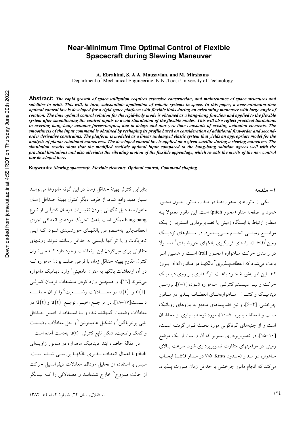#### **Near-Minimum Time Optimal Control of Flexible Spacecraft during Slewing Maneuver**

**A. Ebrahimi, S. A.A. Mousavian, and M. Mirshams**

Department of Mechanical Engineering, K.N .Toosi University of Technology

**Abstract:** *The rapid growth of space utilization requires extensive construction, and maintenance of space structures and satellites in orbit. This will, in turn, substantiate application of robotic systems in space. In this paper, a near-minimum-time optimal control law is developed for a rigid space platform with flexible links during an orientating maneuver with large angle of rotation. The time optimal control solution for the rigid-body mode is obtained as a bang-bang function and applied to the flexible system after smoothening the control inputs to avoid stimulation of the flexible modes. This will also reflect practical limitations in exerting bang-bang actuator forces/torques, due to delays and non-zero time constants of existing actuation elements. The smoothness of the input command is obtained by reshaping its profile based on consideration of additional first-order and secondorder derivative constraints. The platform is modeled as a linear undamped elastic system that yields an appropriate model for the analysis of planar rotational maneuvers. The developed control law is applied on a given satellite during a slewing maneuver. The simulation results show that the modified realistic optimal input compared to the bang-bang solution agrees well with the practical limitations and also alleviates the vibrating motion of the flexible appendage, which reveals the merits of the new control law developed here.* 

**Keywords:** *Slewing spacecraft, Flexible elements, Optimal control, Command shaping*

بنابراین کنترلر بهینهٔ حداقل زمان در این گونه مانورها می توانـد بسيار مفيد واقع شود. از طرف ديگر كنترل بهينهٔ حـداقل زمــان ماهواره به دلیل ناگهانی بـودن تغییـرات فرمـان کنترلـی از نـوع bang-bang ممكن است باعث تحريك مودهاى انعطافي اجزاي انعطاف پذیر به خـصوص بالکهـای خورشـیدی شـود، کـه ایـن تحریکات و یا اثر آنها بایستی به حداقل رسانده شوند. روشهای متفاوتی برای میراکردن این ارتعاشات وجود دارد کـه مـی تـوان کنترل مقاوم بھینه حداقل زمان با فرض صلب بودن ماہوارہ کــه در آن ارتعاشات بالکها به عنوان نامعینی<sup>ء</sup>ٔ وارد دینامیک ماهواره میشوند [۱٦]، و همچنین وارد کردن مــشتقات فرمـان کنترلــی و  $\text{\,ii (t)}$  در معـــــادلات وضـــــعيت $^{\circ}$ را از آن جملــــه  $\text{\,i (t)}$ دانـــست[۱۷-۱۸]. در مراجـــع اخيـــر، توابـــع  $\dot{\rm u}(t)$  و  $\rm \ddot{u}(t)$  در معادلات وضعيت گنجانده شده و بــا اســتفاده از اصــل حــداقل يابي يونترياگين<sup>ع</sup> وتشكيل هاميلتونين<sup>\</sup> و حل معادلات وضــعيت و کمک وضعیت، شکل تابع کنترلی u(t) بهدست آمده است.

در مقالهٔ حاضر، ابتدا دینامیک ماهواره در مـانور زاویــهای pitch با اعمال انعطاف پــذيرى بالكهــا بررســي شــده اســت. سپس با استفاده از تحلیل مودال، معادلات دیفرانسیل حرکت از حالت ممزوج<sup>^</sup> خارج شدهانــد و معــادلاتی را کــه بیــانگر **1 - مقدمه** 

یکی از مانورهای ماهوارههـا در مـدار، مـانور حـول محـور عمود بر صفحه مدار (محور pitch) است. این مانور معمولاً بــه منظور ارتباط با ایستگاه زمینی یا تصویربرداری استریو از یک موضع زمینے انجام مےپلدیرد. در مــدارهای نزدیــک زمین ٰ(LEO)، راستای قرارگیری بالکهای خورشـیدی ٔ معمـولا در راستای حرکت مـاهواره (محـور roll) اسـت و همـین امـر باعث میشود که انعطافپــذیری ٌ بالکهــا در مــانورpitch بــروز کند. این امر بهنوبـهٔ خـود باعـث اثر گــذاری بـر روی دینامیـک حرکت و نیـز سیـستم کنترلـی مـاهواره شـود، [۱-۳]. بررسـی دینامیک و کنتــرل مــاهوارههــای انعطــاف پـــذیر در مــانور چرخشی، [۴–۶]، و نیز فضاپیماهای مجهز به بازوهای روباتیک صلب و انعطاف پذیر، [۷–۱۰]، مورد توجه بسیاری از محققــان است و از جنبههای گوناگونی مورد بحث قـرار گرفتـه اسـت، [۱۰-۱۵]. در تصویربرداری استریو که لازم است از یک موضع زمینی در موقعیتهای متفاوت تصویربرداری شود، سرعت بـالای ماهواره در مدار (حدود ۷/۵ Km/s در مدار LEO) ایجاب می کند که انجام مانور چرخشی با حداقل زمان صورت پــذیرد.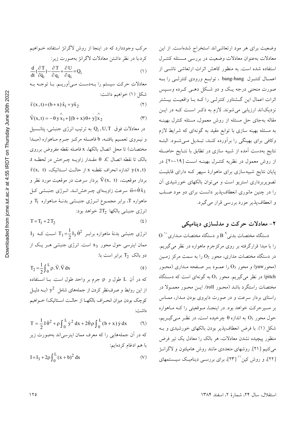وضعیت برای هر مود ارتعاشی اند استخراج شدهاست. از این معادلات بهعنوان معادلات وضعيت در بررسي مسئله كنتـرل استفاده شده است. به منظور کاهش اثرات ارتعاشی ناشــی از اعمــال کنتــرل bang-bang ، توابــع ورودی کنترلــی را بــه صورت منحني درجه يـک و دو شـکل دهـي کـرده وسـپس اثرات اعمال این گــشتاور کنترلــی را کــه بــا واقعیــت بیــشتر نزدیکاند ارزیابی می شوند. لازم به ذکر است کـه در ایـن مقاله بهجای حل مسئله از روش معمول، مسئله کنترل بهینــه به مسئله بهینه سازی با توابع مقید به گونهای که شرایط لازم وكافي براي بهينگي را برأورده كنـد، تبـديل مـي شـود. البتـه نتايج بهدست آمده از شبيه سازي در تطابق با نتـايج حاصـله از روش معمول در نظریه کنتـرل بهینــه اســت [۱۹-۲۰]. در پایان نتایج شبیهسازی برای ماهوارهٔ سپهر کـه دارای قابلیـت تصویربرداری استریو است و می توان بالکهای خورشیدی آن را در چنین مانوری انعطافپذیر دانست برای دو مود صـلب و انعطاف پذیر مورد بررسی قرار می گیرد.

## ۲- معادلات حرکت و مدلسازی دینامیکی

 $\overline{\mathrm{O}}$  دستگاه مختصات بدنی $\overline{\mathrm{B}}$  و دستگاه مختصات مـداری را با مبدا قرارگرفته بر روی مرکزجرم ماهواره در نظر میگیریم. در دستگاه مختصات مداری، محور  $\rm O_{2}$  را به سمت مرکز زمـین (محور yaw) و محور O3 را عمـود بـر صـفحه مـداري (محـور در نظر میگیریم. محور  $O_1$  به گونهای است که دستگاه (pitch مختصات راستگرد باشد (محـور roll). ايــن محـور معمـولا در راستای بردار سرعت و در صورت دایروی بودن مـدار، ممـاس بر مسیرحرکت خواهد بود. در اینجـا، مـوقعیتی را کـه مـاهواره حول محور O3 به اندازه  $\theta$  چرخیده است، در نظـر مـی گیــریم، شکل (۱). با فرض انعطاف یذیر بودن بالکهای خورشیدی و بـه منظور پیچیده نشدن معادلات، هر بالک را معادل یک تیر فرض می کنیم [۲۱]. روشهای متعددی مانند روش هامیلتون و لاگرانـژ [۲۲]، و روش کین'' [۲۳]، برای بررسـی دینامیـک سیـستمهای

معادلات حرکت سیستم را بـهدسـت مـیآوریـم. بـا توجـه بـه شكل (١) خواهيم داشت:

مرکب وجوددارد که در اینجا از روش لاگرانژ استفاده خــواهیم

$$
\vec{r}(x,t) = (b+x)\hat{x}_1 + y\hat{x}_2 \tag{7}
$$

$$
\vec{V}(x,t) = -\theta y x_1 + [(b+x)\theta + y]x_2
$$
 (7)

در معادلات فوق Q<sub>i</sub>,U,T به ترتیب انرژی جنبشی، پتانـسیل و نيـروي تعمـيم يافتــه، b فاصـله مركـز جـرم مـاهواره (مبــدا مختصات) تا محل اتصال بالكها، x فاصله نقطه مفروض برروى  $\cdot$ بالک تا نقطه اتصال C.  $\theta$  مقــدار زاویــه چــرخش در لحظــه t.  $\vec{r}(x, t)$  اندازه انحراف نقطـه x از حالـت اسـتاتيک، y(x,t) بردار موقعیت،  $\vec{V}(x,~t)$  بردار سرعت در موقعیت مورد نظر و ت سرعت زاویـهای چـرخشانـد. انـرژي جنبـشي كـل T-فيرخش ماهواره T، برابر مجمــوع انــرژی جنبــشی بدنــهٔ مــاهواره  $\rm T_{l}$  و انرژی جنبشی بالکھا 2T2 خواهد بود:

$$
T = T_1 + 2T_2 \tag{6}
$$

 $I_3$  انرژی جنبشی بدنهٔ ماهواره برابـر  $I_3$   $\dot{\theta}^2$   $T_1 = \frac{1}{2} I_3 \dot{\theta}^2$  اسـت کـه ممان اینرسی حول محور x3 است. انرژی جنبشی هـر یـک از دو بالک  $T_2$  برابر است با:

$$
T_2 = \frac{1}{2} \int_0^L \rho \cdot \vec{V} \cdot \vec{V} \, dx
$$

که در آن L طول و p جرم بر واحد طول است. بــا اســتفاده از این روابط و صرفنظر کردن از جملههای شامل  $\rm y^2$  (بــه دلیــل كوچك بودن ميزان انحـراف بالكهـا از حالـت اسـتاتيك) خـواهيم داشت:

$$
T = \frac{1}{2}I\dot{\theta}^2 + \rho \int_0^L \dot{y}^2 dx + 2\dot{\theta}\rho \int_0^L (b+x)\dot{y} dx
$$
 (1)  
که در آن جملههایی را که مftyرف ممان اینرسیاند بهصورت زیر

$$
I = I_3 + 2\rho \int_0^L (x + b)^2 dx
$$
 (V)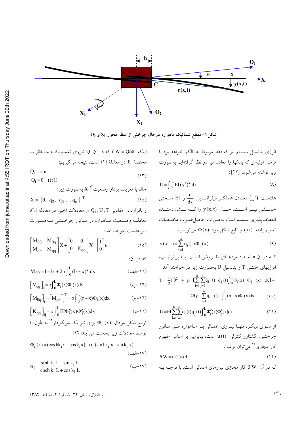

 $\textbf{O}_3$  شکل ۱– مقطع شماتیک ماهواره درحال چرخش از منظر محور  $\textbf{X}_3$  و

اینکه  $\delta W = Q \delta \theta$  که در آن Q نیروی تعمیم،یافتـه متنــاظر بــا مختصة  $\theta$  در معادلة (١) است، نتيجه مي گيريم:

$$
Q_1 = u
$$
  
 
$$
Q_i = 0 \quad (i)1)
$$
 (17)

و باقراردادن مقادیر Q<sub>i</sub>, U, T از معادلات اخیر، در معادله (۱)، معادلـه وضـعيت مـاهواره در مـانور چرخــشى بـهصـورت زيربەدست خواهد آمد:

$$
\begin{bmatrix} M_{\theta\theta} & M_{\theta q} \\ M_{q\theta} & M_{qq} \end{bmatrix} \ddot{X} + \begin{bmatrix} 0 & 0 \\ 0 & K_{qq} \end{bmatrix} X = \begin{bmatrix} 1 \\ 0 \end{bmatrix} u \tag{10}
$$

$$
M_{\theta\theta} = I = I_3 + 2\rho \int_0^L (b+x)^2 dx
$$
 (d)

$$
\left[\mathbf{M}_{qq}\right]_{ij} = \rho \int_0^L \Phi_i(x) \Phi_j(x) dx
$$
 (J1)

$$
\left[\mathbf{M}_{\theta q}\right]_i = \left[\mathbf{M}_{q\theta}\right]_i^1 = \rho \int_0^L (r+x)\Phi_i(x)dx \qquad (\xi^{-1})
$$

$$
\begin{bmatrix} K_{qq} \end{bmatrix}_{ij} = \rho \int_{0} \text{EI}\Phi_{i}^{n}(x) \Phi_{j}^{n}(x) dx
$$
 (5-17)  
Let  $\Phi_{i} = \int_{0}^{1} \int_{0}^{1} x \Phi_{i}^{n}(x) dx$ 

$$
\Phi_i(x) = (\cos hk_i x - \cos k_i x) - \alpha_i (\sin hk_i x - \sin k_i x)
$$
\n
$$
(\bigcup_{i=1}^n A_i x_i - \sin k_i x) - (\bigcup_{i=1}^n A_i x_i - \sin k_i x)
$$

$$
\alpha_i = \frac{\sinh k_i L - \sin k_i L}{\cosh k_i L + \cos k_i L}
$$
 (J)

انرژی پتانسیل سیستم نیز که فقط مربوط به بالکها خواهد بود با فرض اولیهای که بالکها را معادل تیر در نظر گرفتهایم بهصورت زير نوشته مي شود، [٢٢]:

$$
U = \int_0^L EI(y'')^2 dx
$$
 (A)

علامــت (′\_) معــادل عملگــر ديفرانــسيل  $\frac{\mathrm{d}}{\mathrm{d}\mathrm{x}}$  و EI ســختمى خمــشى تيــر اســت. حــال (x,t) راكــه نــشاندهنــده انعطاف پذیری سیستم است بهصورت حاصل ضـرب مختـصات تعمیم یافته (q(t و تابع شکل مود (φ(x می(ویسیم:

$$
y(x, t) = \sum_{i=1}^{n} q_i(t) \Phi_i(x)
$$
 (4)

كه در آن n تعـداد مودهـاي مفـروض اسـت. بـدينترتيـب، انرژیهای جنشی T و یتانسیل U بهصورت زیر در خواهند آمد:  $T = \frac{1}{2}I \dot{\theta}^2 + \rho \left(\sum_{i=1}^{n} \sum_{j=1}^{n} \dot{q}_i(t) \dot{q}_j(t) \right) \left[\begin{matrix} L \\ 0 \end{matrix} \Phi_i(x) \Phi_j(x) dx\right) +$ 

$$
U = EI \sum_{i=1}^{n} \sum_{j=1}^{n} q_i(t) q_j(t) \int_0^L \Phi_i^r(x) \Phi_j^r(x) dx
$$
 (1)

از سـوي ديگـر، تنهـا نيـروي اعمـالي بـر مـاهواره طـي مـانور چرخشی، گشتاور کنترلی (u(t است، بنابراین بر اساس مفهوم کار مجازی<sup>۱۲</sup> می توان نوشت:

$$
\delta W = u(t) \delta \theta \tag{17}
$$

که در آن & W کار مجازی نیروهای اعمالی است. با توجــه بــه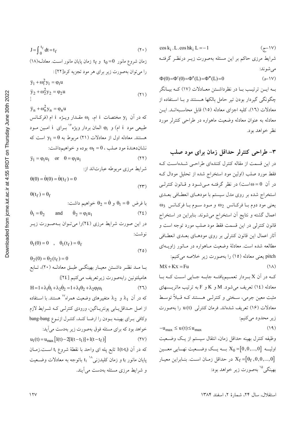$$
J = \int_{0}^{t_{f}} dt = t_{f}
$$
\n(11) 
$$
J = \int_{0}^{t_{f}} dt = t_{f}
$$
\n(12) 
$$
t_{0} = 0
$$
\n(13) 
$$
t_{0} = 0
$$
\n(14) 
$$
t_{0} = 0
$$
\n(15) 
$$
t_{0} = 0
$$
\n(16) 
$$
t_{0} = 0
$$
\n(17) 
$$
t_{0} = 0
$$
\n(18) 
$$
t_{0} = 0
$$
\n(19) 
$$
t_{0} = 0
$$
\n(10) 
$$
t_{0} = 0
$$
\n(11) 
$$
t_{0} = 0
$$
\n(10) 
$$
t_{0} = 0
$$
\n(11) 
$$
t_{0} = 0
$$
\n(10) 
$$
t_{0} = 0
$$
\n(11) 
$$
t_{0} = 0
$$
\n(12) 
$$
t_{0} = 0
$$
\n(13) 
$$
t_{0} = 0
$$
\n(14) 
$$
t_{0} = 0
$$
\n(15) 
$$
t_{0} = 0
$$
\n(16) 
$$
t_{0} = 0
$$
\n(17) 
$$
t_{0} = 0
$$
\n(18) 
$$
t_{0} = 0
$$
\n(19) 
$$
t_{0} = 0
$$
\n(10) 
$$
t_{0} = 0
$$
\n(11) 
$$
t_{0} = 0
$$
\n(10) 
$$
t_{0} = 0
$$
\n(11) 
$$
t_{0} = 0
$$
\n(12) 
$$
t_{0} = 0
$$
\n(13) 
$$
t_{0} = 0
$$
\n(14) 
$$
t_{0} = 0
$$
\n(15) 
$$
t_{0} = 0
$$
\n(16) 
$$
t_{0} = 0
$$
\n(17) 
$$
t_{0} = 0
$$
\n(18) 
$$
t_{0} = 0
$$
\n(19) 
$$
t_{0
$$

طبیعی مود i ام) و φ<sub>i</sub> المان بردار ویژه ٌ بـرای i امـین مـود هستند. معادله اول از معادلات (٢١) مربوط به 9= y1 است كه  $\omega_1 = 0$ ، نشان دهندهٔ مو د صلب ،  $\omega_1 = 0$  بو ده و خواهیم داشت:  $\ddot{y}_1 = \varphi_1 u_1$  or  $\theta = \varphi_1 u_1$  $(77)$ شرایط مرزی مربوطه عبارتاند از:

$$
\theta(0) = \theta(0) = \theta(t_f) = 0
$$
\n<sup>(\Upsilon\Upsilon)</sup>

 $\theta(t_f) = \theta_f$ 

با فرض 10 = 4 و 10 2 خواهیم داشت:  
\n
$$
\dot{\theta}_1 = \theta_2
$$
 and  $\dot{\theta}_2 = \phi_1 u_1$  (72)  
\n $c_1 u_2$  or  $c_2 u_2$  (137)  
\n $c_3 u_3$ 

$$
\theta_1(0) = 0 \quad , \quad \theta_1(\tau_f) = \theta_f \tag{10}
$$

 $\theta_2(0) = \theta_2(t_f) = 0$ بــا مــد نظــر داشــتن معيــار بهينگــي طبــق معادلــه (٢٠)، تــابع هاميلتونين رابهصورت زيرتعريف مي كنيم [٢٤]:  $H = 1 + \lambda_1 \dot{\theta}_1 + \lambda_2 \dot{\theta}_2 = 1 + \lambda_1 \theta_2 + \lambda_2 \phi_1 u_1$  $(YI)$ که در آن  $\lambda_1$  و  $\lambda_2$  متغییرهای وضعیت همراه $^{1\!\mathrm{V}}$  هستند. با اسـتفاده از اصل حـداقل بـابي پونتريـاگين، ورودي كنترلـي كـه شـرايط لازم وكافي براي بهينـه بـودن را ارضـا كنـد، كنتـرل ازنـوع bang-bang خواهد بود که برای مسئله فوق بهصورت زیر بهدست می آید:  $u_1(t) = u_{max} [1(t) - 2[1(t - t_1)] + 1(t - t_f)]$  $(YV)$ كه در آن (1(t-t<sub>i</sub>) تابع پله اي واحد با نقطهٔ شروع t<sub>i</sub> اسـت.زمــان پایان مانور t<sub>f</sub> و زمان کلیدزن<sub>ی</sub>^٬ t<sub>1</sub> باتوجه به معادلات وضــعیت و شرایط مرزی مسئله بهدست می آیند.

 $\cos k_i$ . L.  $\cos hk_i$  L = -1  $(7 - 1)$ شرایط مرزی حاکم بر این مسئله بهصورت زیـر درنظـر گرفتـه مى شوند:  $\Phi(0) = \Phi'(0) = \Phi''(L) = \Phi'''(L) = 0$  $(1 - 1)$ بـه ايــن ترتيـب بــا در نظرداشــتن معــادلات (١٧) كــه بيــانگر چگونگی گیردار بودن تیر حامل بالکها هستند و بـا اسـتفاده از معادلات (١٦)، كليه اجزاي معادله (١٥) قابل محاسـبهانـد. ايـن معادله به عنوان معادله وضعیت ماهواره در طراحی کنترلر مورد نظر خواهد بود.

۳- طراحی کنترلر حداقل زمان برای مود صلب در این قسمت از مقاله کنترل کنندهای طراحبی شـدهاسـت کـه فقط مورد صلب (اولین مود استخراج شده از تحلیل مودال ک در آن  $\omega = 0$ است) در نظر گرفتــه مــیشــود و قــانون کنترلــی استخراج شده بر روی مدل سیستم با مودهـای انعطـافی بعــدی  $\omega_3$  يعني مود دوم با فركانس  $\omega_2$  و مود سوم با فركانس پا اعمال گشته و نتايج أن استخراج مي شوند. بنابراين در استخراج قانون كنترلي در اين قسمت فقط مود صلب مورد توجه است و أثار اعمال این قانون کنترلی بر روی مودهـای بعـدی انعطـافی مطالعه شده است. معادلهٔ وضعیت مـاهواره در مـانور زاویــهای pitch یعنی معادله (١٥) را بهصورت زیر خلاصه میکنیم:

 $M\ddot{x} + Kx = Fu$  $(\Lambda)$ کـه در آن X بـردار تعمـيم يافتـه جابـه جـايي اسـت کـه بـا معادله (١٤) تعريف مي شود. M و K و F به ترتيب ماتريـسهاى مثبت معین جرمی، سـختی و کنترلـی هـستند کـه قـبلاً توسـط معادلات (۱۶) تعریف شدهاند. فرمان کنترل<sub>ی</sub> (u(t را بهصورت زير محدود ميكنيم:  $(19)$  $-u_{\text{max}} \le u(t) \le u_{\text{max}}$ 

وظيفه كنترل بهينه حداقل زمان، انتقال سيستم از يك وضعيت اولیـــه  $X_0 = [0, 0, ..., 0]$  بـــه یـــک وضـــعیت نهـــایی معـــین در حداقل زمـان اسـت. بنـابراين معيـار X $_{\rm f}$  =[ $\theta_{\rm f}$ ,0,0,...,0] بهينگي<sup>10</sup> بهصورت زير خواهد بود:

استقلال، سال ٢۴، شمارهٔ ٢، اسفند ١٣٨۴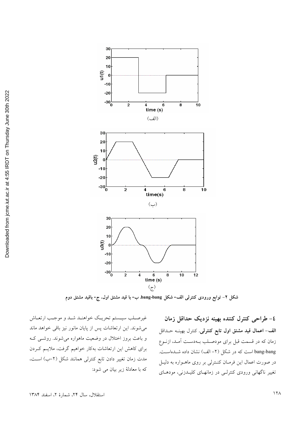

شکل ۲– توابع ورودی کنترلی الف- شکل bang-bang، ب- با قید مشتق اول، ج- باقید مشتق دوم

٤- طراحى كنترل كننده بهينه نزديك حداقل زمان الف- اعمال قید مشتق اول تابع کنترلی. کنترل بهینــه حــداقل زمان که در قسمت قبل برای مودصـلب بـهدسـت آمـد، ازنـوع bang-bang است که در شکل (۲- الف) نشان داده شــدهاســت. در صورت اعمال این فرمان کنـترلی بر روی ماهـواره به دليـل تغییر ناگهانی ورودی کنترلـی در زمانهـای کلیـدزنی، مودهـای

غیرصـلب سیـستم تحریـک خواهنـد شـد و موجـب ارتعـاش می شوند. این ارتعاشات پس از پایان مانور نیز باقی خواهد ماند و باعث بروز اختلال در وضعیت ماهواره می شوند. روشبی ک برای کاهش این ارتعاشات بهکار خواهیم گرفت، ملایـم کـردن مدت زمان تغییر دادن تابع کنترلی همانند شکل (۲–ب) است، كه با معادلهٔ زير بيان مي شود: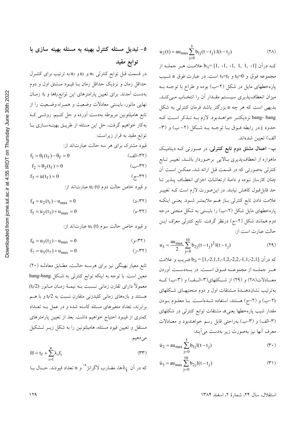$u_2(t) = au_{max} \sum_{i=0}^{3} b_{1j}(t-t_j) 1(t-t_j)$  $(Y \wedge)$ 

کـه درآن [1, -1, -1, -1, -1, -1, -1] علامـت هـر جملـه از مجموعه فوق و 0=t<sub>6</sub> و t<sub>5</sub>=t<sub>f</sub> است. در عبارت فوق a شــيب یارهخطهای مایل در شکل (۲–ب) بوده و طراح با توجـه بـه میزان انعطاف پذیری سیستم مقـدار آن را انتخـاب مـیکنـد. بدیهی است که هر چه a بزرگتر باشد فرمان کنترل<sub>ی</sub> به شکل bang- bang نزدیکتر خواهـدبود. لازم بـه تـذکر اسـت کـه حدود j در رابطه فـوق بـا توجـه بـه شـكل (٢-ب) و (٣-الف) تعيين شدهاند.

ب- اعمال مشتق دوم تابع کنترلی. در صورت<sub>ی</sub> کـه دینامیـک ماهواره از انعطافپذیری بالایی برخوردار باشد، تغییـر تـابع کنترلی بهصورتی که در قسمت قبل ارائه شد، ممکــن اســت آن چنان کارساز نبوده و دامنهٔ ارتعاشات اجزای انعطـاف پــذیر تــا حد قابلقبول کاهش نیابند. در این صورت لازم است کـه تغییـر علامت دادن تابع کنترلی بـاز هــم ملایمتــر شــود. یعنــی اینکــه پارهخطهای مایل شکل (۲–ب) را بایستی به شکل منحنی درجه دوم همانند شکل (۲–ج) درنظر گرفت. تابع کنترلی معرُف ایــن حالت عبارت است از:

$$
u_3 = \frac{au_{\text{max}}}{2} \sum_{j=0}^{10} b_{2j} (t - t_j)^2 I(t - t_j)
$$
 (19)

 $b_{2j}$  =  $[1,-2,1,1,-1,2,-2,2,-1,1,-2,1]$  ضریب و علامت هــر جملــه از مجموعــه فــوق اســت. در بــهدســت أوردن معــادلات(۲۸) و (۲۹) از شــکلهای(۳-الــف) و (۳-ب) کــه بهترتیب نشاندهنــدهٔ مــشتقات اول و دوم منحنیهــای شــکلهای (٢–ب) و (٢–ج) هستند، استفاده شـدهاسـت. بـا معلــوم بــودن مقدار شیب پارهخطها یعنی& مشتقات توابع کنترل<sub>ی</sub> در شکلهای (٣-الف) و (٣-ب) بهراحتي قابل رسم خواهندبود و معـادلات معرف أنها نيز بهصورت زير بهدست مي آيند:

$$
\dot{u}_2 = au_{\text{max}} \sum_{j=0}^{5} b_{1j} l(t - t_j)
$$
 (7.)

$$
\ddot{u}_3 = \text{au}_{\text{max}} \sum_{j=0}^{10} b_{2j} l(t - t_j)
$$
 (71)

٥- تبدیل مسئله کنترل بهینه به مسئله بهینه سازی با توابع مقيد در قسمت قبل توابع كنترلى <sub>ال</sub>له و <sub>ل</sub>اله و به به ترتيب براى كنتـرل حداقل زمان و نزدیک حداقل زمان بــا قیــود مــشتق اول و دوم بهدست آمدند. برای تعیین پارامترهای این توابع،<sub>ن</sub>اها و t<sub>f</sub> زمـان نهایی مانور، بایستی معادلات وضعیت و همـراه وضـعیت را از تابع هامیلتونین مربوطه بهدست آورده و حل کنـیم. روشــی کــه بهکار خواهیم گرفت، حل این مسئله از طریـق بهینـهسـازی بـا توابع مقید به قرار زیراست: قیود مشترک برای هر سه حالت عبارتاند از:  $f_1 = \theta_1(t_f) - \theta_f = 0$ (٣٢-الف)  $($ ۳۲ب)  $f_2 = \theta_2(t_f) = 0$  $f_3 = u(t_f) = 0$  $(77 - 7)$ 

و قيود خاص حالت دوم (t) وu2 عبارتاند از:

 $(5 - YY)$  $f_4 = u_2(t_1) - u_{max} = 0$ 

$$
f_5 = u_2(t_3) + u_{\text{max}} = 0 \tag{6-YY}
$$

و قيود خاص حالت سوم (t) وu3 عبارتاند از:

$$
f_6 = u_3(t_2) - u_{max} = 0
$$
 (g-rr)

$$
f_7 = u_3(t_7) + u_{\text{max}} = 0 \tag{5-rr}
$$

تابع معیار بهینگی نیز برای هرسـه حالـت، مطـابق معادلـه (٢٠) معین است. با توجه به اینکه توابع کنترل<sub>ی</sub> به شکل bang-bang معمولاً دارای تقارن زمانی نـسبت بـه نیمـهٔ زمـان مـانور (tr/2) هستند و بازههای زمان<sub>ی</sub> کلیدزنی متقارن نسبت به t<sub>i</sub>⁄2 و با هــم برابرند، تعداد متغیرهای مسئله کاسته شده و در عمل بـه تعـداد کمتری از قیـود احتیاج خواهیم داشت. بعد از تعیین پارامترهای مستقل و تعیین قیود مسئله، هامیلتونین را به شکل زیـر تـشکیل مي دهيم.

$$
H = t_f + \sum_{i=1}^{n} \lambda_i f_i
$$
 (YY)

که در آن
$$
\lambda_1
$$
هها، مضارب لاگرانژ $n$ و n تعداد قیودند. حیال با

استقلال، سال ٢۴، شمارة ٢، اسفند ١٣٨۴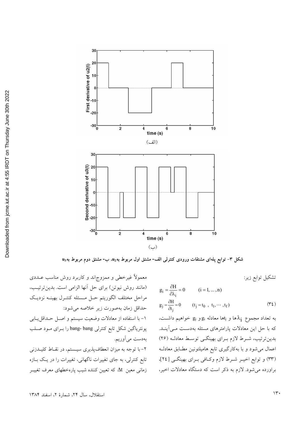

شکل ۳- توابع پلهای مشتقات ورودی کنترلی الف- مشتق اول مربوط به $u_2$ ، ب- مشتق دوم مربوط به $u_3$ 

تشكيل توابع زير:

$$
g_{i} = \frac{\partial H}{\partial \lambda_{i}} = 0 \qquad (i = 1, ..., n)
$$
  
\n
$$
g_{j} = \frac{\partial H}{\partial t_{j}} = 0 \qquad (t_{j} = t_{0}, t_{1}, ..., t_{f}) \qquad (\Upsilon t)
$$

به تعداد مجموع  $\lambda_{\mathbf{i}}$ ها و  $_{\mathbf{j}}$ ها معادله  $\mathrm{g}_{\mathbf{i}}$  و  $\mathrm{g}_{\mathbf{i}}$  خواهیم داشـت، که با حل این معادلات پارامترهای مسئله بهدسـت مـی]ینــد. بدین ترتیب، شـرط لازم بـرای بهینگــی توسـط معادلـه (۲۶) اعمال میشود و با بهکارگیری تابع هامیلتونین مطـابق معادلــه (۳۳) و توابع اخیـر شـرط لازم وکـافی بـرای بهینگـی [۲٤]، براورده می شود. لازم به ذکر است که دستگاه معادلات اخیر،

معمولاً غیرخطی و ممزوج|ند و کاربرد روش مناسب عــددی (مانند روش نیوتن) برای حل آنها الزامی است. بدین ترتیب، مراحل مختلف الگوريتم حـل مــسئله كنتـرل بهينــه نزديـك حداقل زمان بهصورت زير خلاصه مي شود: ۱- با استفاده از معادلات وضعیت سیستم و اصـل حـداقل1یـابی پونتریاگین شکل تابع کنترلی bang- bang را بـرای مـود صـلب بهدست مي آوريم. ۲-با توجه به میزان انعطاف پذیری سیستم، در نقـاط کلیـدزنی تابع کنترلی، به جای تغییرات ناگهانی، تغییرات را در یک بـازه زمانی معین Δt که تعیین کننده شیب یارهخطهای معرف تغییـر

استقلال، سال ٢۴، شمارهٔ ٢، اسفند ١٣٨۴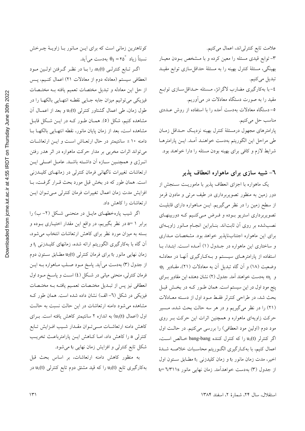کوتاهترین زمانی است که برای ایــن مــانور بــا زاویــهٔ چــرخش  $\theta_I = \mathfrak{e} \circ \theta_I$ نسبتاً زياد  $\theta_I = \mathfrak{e}$  بهدست مي آيد.

اگر تابع کنترلبی (u1(t را با در نظر گرفتن اولین مود انعطافی سیستم (معادله دوم از معادلات ۲۱) اعمال کنیم، پـس از حل این معادله و تبدیل مختصات تعمیم یافته بـه مختـصات فیزیکی میتوانیم میزان جابه جـایی نقطـه انتهـایی بالکهـا را در طول زمان، طی اعمال گشتاور کنترلی (u1(t و بعد از اعمــال آن مشاهده کنیم، شکل (٥). همـان طـور کـه در ایــن شـکل قابـل مشاهده است، بعد از زمان پایان مانور، نقطه انتهـایی بالکهـا بـا دامنه ۱۰ ± سانتیمتر در حال ارتعـاش اسـت و ایــن ارتعاشــات میتواند اثرات مخربی بر مدار حرکت ماهواره در اثر هدر رفتن انرژی و همچنین سازه آن داشته باشـد. عامـل اصـلی ایـن ارتعاشات تغییرات ناگهانی فرمان کنترلی در زمانهـای کلیـدزنی است. همان طور كه در بخش قبل مورد بحث قـرار گرفـت، بـا افزایش مدت زمان اعمال تغییرات فرمان کنترلی مـیتـوان ایــن ارتعاشات را كاهش داد.

اگر شیب پارهخطهای مایـل در منحنـی شـکل (۲-ب) را برابر ۱ =a در نظر بگیریم، در واقع این مقدار اختیـاری بـوده و بسته به میزان مورد نظر برای کاهش ارتعاشات انتخاب می شود، آن گاه با بهکارگیری الگوریتم ارائه شده، زمانهای کلیــدزنی <sub>ن</sub>ا و زمان نهایی مانور t<sub>f</sub> برای فرمان کنترل<sub>ی (u2</sub>(t مطـابق سـتون دوم از جدول (۳) بهدست میآید. پاسخ مـود صـلب مـاهواره بـه ایـن فرمان کنترلی، منحنی میانی در شکل (٤) اسـت و پاسـخ مـود اول انعطافی نیز پس از تبـدیل مختـصات تعمـیم یافتـه بـه مختـصات فیزیکی در شکل (٦- الف) نشان داده شده است. همان طور ک مشاهده می شود دامنه ارتعاشات در این حالت نسبت به حالت اول (اعمال (u1(t) به اندازه ۲ سانتیمتر کاهش یافته است. بـرای كاهش دامنه ارتعاشــات مــــىتــوان مقــدار شــيب افــزايش تــابع کنترلی a را کاهش داد، امـا کـاهش ایــن پارامترباعـث تخریـب شکل تابع کنترلمی و افزایش زمان نهایبی t<sub>f</sub> می شود.

به منظور كاهش دامنه ارتعاشات، بر اساس بحث قبل بهکارگیری تابع (u3(t را که قید مشتق دوم تابع کنترلی (u1(t در

علامت تابع كنترلى اند، اعمال مى كنيم. ٣-توابع قیدی مسئله را معین کرده و با مـشخص بـودن معیـار بهینگی، مسئلهٔ کنترل بهینه را به مسئلهٔ حداقلسازی توابع مقیـد تبديل مي كنيم. ٤–با بهکارگیری مضارب لاگرانژ، مـسئله حـداقلســازی توابــع مقید را به صورت دستگاه معادلات در میآوریم. ٥–دستگاه معادلات بهدست آمده را با استفاده از روش عــددی مناسب حل مي كنيم. پارامترهای مجهول درمسئلهٔ کنترل بهینه نزدیک حـداقل زمـان طي مراحل اين الگوريتم بهدست خواهنـد أمـد. ايــن پارامترهـا شرایط لازم و کافی برای بهینه بودن مسئله را دارا خواهند بود.

### ٦- شبیه سازی برای ماهواره انعطاف پذیر

یک ماهواره با اجزای انعطاف پذیر با ماموریـت سـنجش از دور زمین به منظور تصویربرداری در طیف مرئی و مادون قرمز از سطح زمین را در نظر میگیریم. ایــن مــاهواره دارای قابلیــت تصویربرداری استریو بـوده و فـرض مـیکنـیم کـه دوربینهـای نصب شده بر روی آن ثابتاند. بنـابراین انجـام مـانور زاویــهای برای این ماهواره اجتنابناپذیر خواهد بود. مشخصات مداری و ساختاری این ماهواره در جـدول (۱) آمـده اسـت. ابتـدا، بـا استفاده از پارامترهـای سیـستم و بـهکـارگیری آنهـا در معادلـه وضعیت (١٨) و آن گاه تبدیل آن به معادلات (٢١)، مقـادیر  $\varphi_i$ و ..@ به دست خواهند آمد. جدول (٢) نشان دهنده این مقادیر بـرای پنج مود اول در این سیستم است. همان طـور کـه در بخـش قبـل بحث شد، در طراحی کنترلر فقط مـود اول از دسـته معـادلات (۲۱) را در نظر میگیریم و در هر سه حالت بحث شده، مـسیر حرکت زاویهای ماهواره و همچنین اثرات این حرکت بـر روی مود دوم (اولین مود انعطافی) را بررسی میکنیم. در حالت اول اگر کنترلر (u1(t را که کنترل کننده bang-bang خالص است، اعمال کنیم، با بهکـارگیری الگـوریتم محاسـبات خلاصـه شـدهٔ اخیر، مدت زمان مانور t<sub>f و</sub> زمان کلیدزن<sub>ی t1</sub> مطـابق سـتون اول از جدول (۳) به دست خواهدآمد. زمان نهایی مانور ۲/۳۱۱s =t

استقلال، سال ٢۴، شمارة ٢، اسفند ١٣٨۴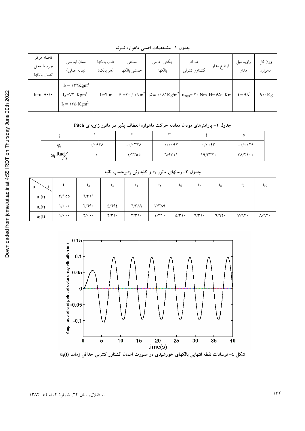جدول ١- مشخصات اصلي ماهواره نمونه

| فاصله مركز<br>جرم تا محل<br>اتصال بالكها | ممان اينرسى<br>(بدنه اصلي)                                                                        | طول بالكها<br>(هر بالک) | سختى<br>خمشي بالكها | چگالي جرمي<br>بالكها                                                                                                                                                                 | حداكثر<br>گشتاور کنترل <sub>ی</sub> | ارتفاع مدار | زاویه میل<br>مدار      | وزن کل<br>ماهواره                         |
|------------------------------------------|---------------------------------------------------------------------------------------------------|-------------------------|---------------------|--------------------------------------------------------------------------------------------------------------------------------------------------------------------------------------|-------------------------------------|-------------|------------------------|-------------------------------------------|
| $b=m \Lambda \cdot / \cdot$              | $I_1$ = $\gamma Kgm^2$<br>$I_2$ = $V\tau$ Kgm <sup>2</sup><br>$I_3$ = $\Upsilon$ Kgm <sup>2</sup> | $L = \mathfrak{F}$ m    |                     | EI= $\mathbf{Y} \cdot / \mathbf{Nm}^2$ $\rho = \cdot / \mathbf{Nkg/m}^2$ $\mathbf{u}_{\text{max}} = \mathbf{Y} \cdot \mathbf{Nm}$ $H = \mathbf{S}\mathbf{\hat{o}} \cdot \mathbf{Km}$ |                                     |             | $i = 9\lambda^{\circ}$ | $\mathbf{\hat{A}} \cdot \mathbf{\hat{K}}$ |

جدول ۲- پارامترهای مودال معادله حرکت ماهواره انعطاف پذیر در مانور زاویهای Pitch

|                       |                                     |                        | $\check{ }$          |                                    |                     |
|-----------------------|-------------------------------------|------------------------|----------------------|------------------------------------|---------------------|
| $\varphi_i$           | $\cdot$ / $\cdot$ $\epsilon$ $\tau$ | $-\cdot$ / $\cdot$ ۳۲۸ | $\cdot$ / $\cdot$ 97 | $\cdot/\cdot\cdot$ { $\mathsf{r}'$ | $-\cdot/\cdot\cdot$ |
| $\omega_i$ Rad<br>- 0 |                                     | ۱/۲۳٥٥                 | 7/9711               | 19/777.                            | $Y\Lambda/Y\cdots$  |

جدول ۳– زمانهای مانور t<sub>r</sub> و کلیدزنی t<sub>i</sub> برحسب ثانیه

| u        | $\mathsf{L}_1$             | $t_2$    | t3    | $t_4$                               | t <sub>5</sub> | $t_6$        | $t_7$                        | $t_8$ | t <sub>9</sub> | $t_{10}$          |
|----------|----------------------------|----------|-------|-------------------------------------|----------------|--------------|------------------------------|-------|----------------|-------------------|
| $u_1(t)$ | 00 ۲/۱                     | 7/7      |       |                                     |                |              |                              |       |                |                   |
| $u_2(t)$ | $\sqrt{\cdot \cdot \cdot}$ | Y/T9     | 2/792 | 7/٣٨٩                               | $V/T\Lambda$ q |              |                              |       |                |                   |
| $u_3(t)$ | $\sqrt{1 + \cdot \cdot}$   | $\gamma$ | Y/Y   | $\Upsilon/\Upsilon \setminus \cdot$ | $2/\tilde{r}$  | $\circ$ /۳۱۰ | $\mathcal{L}(\mathcal{V})$ . | ٦/٦٢٠ | $V/T$ $\cdot$  | $\lambda/\lambda$ |



شکل ٤- نوسانات نقطه انتهایی بالکهای خورشیدی در صورت اعمال گشتاور کنترلی حداقل زمان. (u<sub>1</sub>(t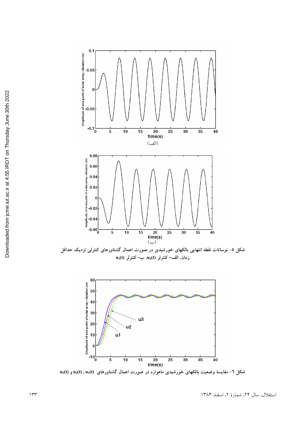



**t (d)** - مقایسهٔ وضعیت بالکهای خورشیدی ماهواره در صورت اعمال گشتاورهای  $\mathbf{u}_1(\mathbf{t})$  و  $\mathbf{u}_2(\mathbf{t})$  و  $\mathbf{u}_3(\mathbf{t})$ 

استقلال، سال ۲۴، شمارهٔ ۲، اسفند ۱۳۸۴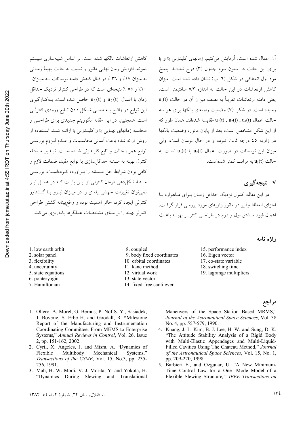نمونه، افزایش زمان نهایی مانور t<sub>f</sub> نسبت به حالت بهینهٔ زمـانی به میزان ١٧٪ و ٣٦ ٪ در قبال كاهش دامنه نوسانات بـه میـزان ۲۰٪ و ٥٥ ٪ نتیجهای است که در طراحی کنترلر نزدیک حداقل زمان با اعمال  $u_2(t)$  و  $u_3(t)$  حاصل شده است. بـهکـارگیری این توابع در واقسع بــه معنــی شــکل دادن تــابع ورودی کنترلــی است. همچنین، در این مقاله الگوریتم جدیدی برای طراحبی و محاسبه زمانهای نهـایی t<sub>f</sub> و کلیــدزنی t<sub>j</sub> ارائــه شــد. اســتفاده از روش ارائه شده باعث أساني محاسبات و عـدم لـزوم بررسـي توابع همراه حالت و تابع كليـدزني شـده اسـت. تبـديل مـسئله کنترل بهینه به مسئله حداقلسازی با توابع مقید، ضمانت لازم و کافی بودن شرایط حل مسئله را به اورده که دهاست. بررسبی مسئلهٔ شکل دهی فرمان کنترلی از ایــن بابـت کــه در عمــل نیــز نمی توان تغییرات جهشی پلهای را در میـزان نیـرو یـا گـشتاور کنترلی ایجاد کرد، حائز اهمیت بوده و واقع بینانه گشتن طراحی کنترلر بهینه را بر مینای مشخصات عملگرها پایه ریزی میکند.

کاهش ارتعاشات بالکها شده است. بر اساس شبیهسازی سیستم

آن اعمال شده است، آزمایش میکنیم. زمانهای کلیدزنی t<sub>f</sub> و j برای این حالت در ستون سوم جدول (۳) درج شدهاند. پاسخ مود اول انعطافی در شکل (٦–ب) نشان داده شده است. میزان کاهش ارتعاشات در این حالت به اندازه ۵/۳ سانتیمتر است.  $u_1(t)$  یعنی دامنه ارتعاشات تقریباً به نصف میزان آن در حالت رسیده است. در شکل (۷) وضعیت زاویهای بالکها برای هر سه حالت اعمال (u3(t) , u2(t) , u1(t) مقايسه شدهاند. همان طور كه از این شکل مشخص است، بعد از پایان مانور، وضعیت بالکها در زاويه ٤٥ درجه ثابت نبوده و در حال نوسان است، ولي  $u_3(t)$  میزان این نوسانات در صورت اعمال  $u_2(t)$  یا  $u_3(t)$  نسبت به حالت (u<sub>1</sub>(t به مراتب کمتر شدهاست.

### ۷- نتیجه گیر ی

در این مقاله، کنترل نزدیک حداقل زمـان بـرای مـاهواره بـا اجزای انعطاف پذیر در مانور زاویهای مورد بررسی قرار گرفت. اعمال قيود مــشتق اول و دوم در طراحــي كنترلــر بهينــه باعــث

- 1. low earth orbit
- 2. solar panel
- 3. flexibility
- 4. uncertainty
- 5. state equations
- 6. pontervagin
- 7. Hamiltonian

8. coupled

- 9. body fixed coordinates
- 10. orbital coordinates
- 11. kane method
- 12. virtual work
- 13. state vector
- 14. fixed-free cantilever
- واژه نامه
- 15. performance index
- 16. Eigen vector
- 17. co-state variable
- 18. switching time
- 19. lagrange multipliers

- 1. Ollero, A. Morel, G. Bernus, P. Nof S. Y., Sasiadek, J. Boverie, S. Erbe H. and Goodall, R. "Milestone Report of the Manufacturing and Instrumentation Coordinating Committee: From MEMS to Enterprise Systems," Annual Reviews in Control, Vol. 26, Issue 2, pp. 151-162, 2002.
- 2. Cyril, X. Angeles, J. and Misra, A. "Dynamics of Flexible Multibody Mechanical Systems." Transactions of the CSME, Vol. 15, No.3, pp. 235-256, 1991.
- 3. Mah, H. W. Modi, V. J. Morita, Y. and Yokota, H. "Dynamics During Slewing and Translational

Maneuvers of the Space Station Based MRMS," Journal of the Astronautical Space Sciences, Vol. 38 No. 4, pp. 557-579, 1990.

- 4. Kuang, J. L. Kim, B. J. Lee, H. W. and Sung, D. K. "The Attitude Stability Analysis of a Rigid Body with Multi-Elastic Appendages and Multi-Liquid-Filled Cavities Using The Chateau Method," Journal of the Astronautical Space Sciences, Vol. 15, No. 1, pp. 209-220, 1998.
- 5. Barbieri E., and Ozgunar, U. "A New Minimum-Time Control Law for a One- Mode Model of a Flexible Slewing Structure," IEEE Transactions on